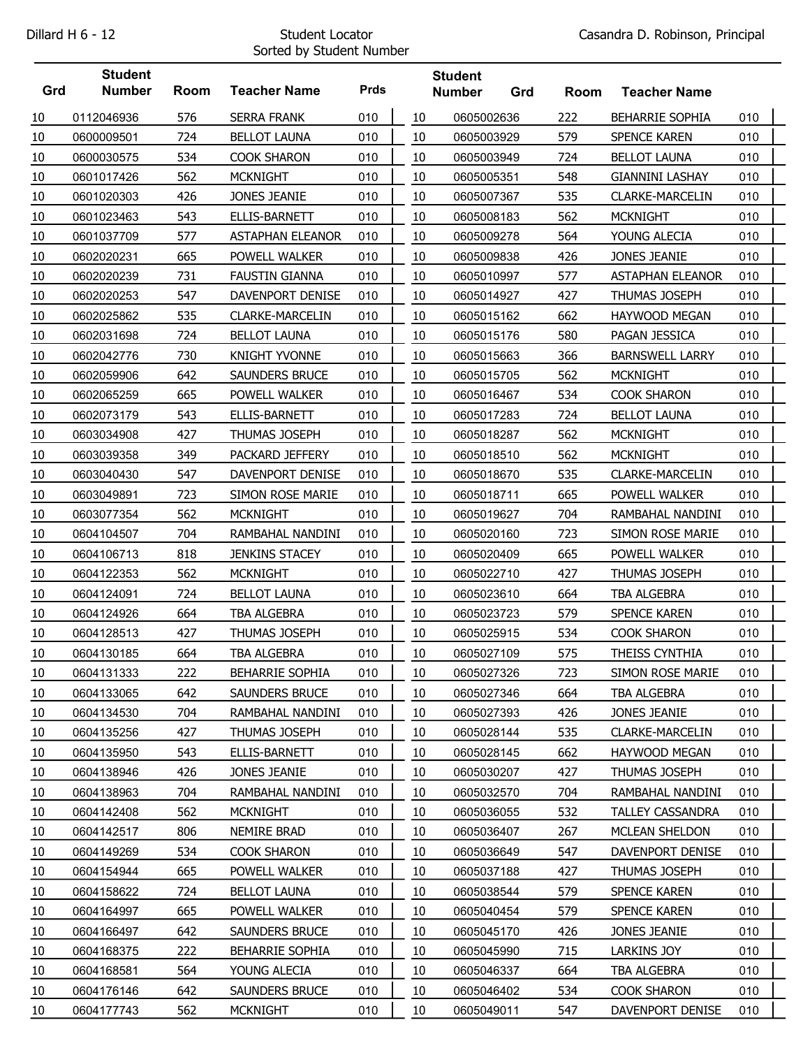## Sorted by Student Number

|     | <b>Student</b> |      |                         |             |    | <b>Student</b> |     |      |                         |     |  |
|-----|----------------|------|-------------------------|-------------|----|----------------|-----|------|-------------------------|-----|--|
| Grd | <b>Number</b>  | Room | <b>Teacher Name</b>     | <b>Prds</b> |    | <b>Number</b>  | Grd | Room | <b>Teacher Name</b>     |     |  |
| 10  | 0112046936     | 576  | <b>SERRA FRANK</b>      | 010         | 10 | 0605002636     |     | 222  | <b>BEHARRIE SOPHIA</b>  | 010 |  |
| 10  | 0600009501     | 724  | <b>BELLOT LAUNA</b>     | 010         | 10 | 0605003929     |     | 579  | <b>SPENCE KAREN</b>     | 010 |  |
| 10  | 0600030575     | 534  | <b>COOK SHARON</b>      | 010         | 10 | 0605003949     |     | 724  | <b>BELLOT LAUNA</b>     | 010 |  |
| 10  | 0601017426     | 562  | <b>MCKNIGHT</b>         | 010         | 10 | 0605005351     |     | 548  | <b>GIANNINI LASHAY</b>  | 010 |  |
| 10  | 0601020303     | 426  | JONES JEANIE            | 010         | 10 | 0605007367     |     | 535  | <b>CLARKE-MARCELIN</b>  | 010 |  |
| 10  | 0601023463     | 543  | ELLIS-BARNETT           | 010         | 10 | 0605008183     |     | 562  | <b>MCKNIGHT</b>         | 010 |  |
| 10  | 0601037709     | 577  | <b>ASTAPHAN ELEANOR</b> | 010         | 10 | 0605009278     |     | 564  | YOUNG ALECIA            | 010 |  |
| 10  | 0602020231     | 665  | POWELL WALKER           | 010         | 10 | 0605009838     |     | 426  | JONES JEANIE            | 010 |  |
| 10  | 0602020239     | 731  | <b>FAUSTIN GIANNA</b>   | 010         | 10 | 0605010997     |     | 577  | <b>ASTAPHAN ELEANOR</b> | 010 |  |
| 10  | 0602020253     | 547  | DAVENPORT DENISE        | 010         | 10 | 0605014927     |     | 427  | THUMAS JOSEPH           | 010 |  |
| 10  | 0602025862     | 535  | <b>CLARKE-MARCELIN</b>  | 010         | 10 | 0605015162     |     | 662  | <b>HAYWOOD MEGAN</b>    | 010 |  |
| 10  | 0602031698     | 724  | <b>BELLOT LAUNA</b>     | 010         | 10 | 0605015176     |     | 580  | PAGAN JESSICA           | 010 |  |
| 10  | 0602042776     | 730  | <b>KNIGHT YVONNE</b>    | 010         | 10 | 0605015663     |     | 366  | <b>BARNSWELL LARRY</b>  | 010 |  |
| 10  | 0602059906     | 642  | SAUNDERS BRUCE          | 010         | 10 | 0605015705     |     | 562  | <b>MCKNIGHT</b>         | 010 |  |
| 10  | 0602065259     | 665  | POWELL WALKER           | 010         | 10 | 0605016467     |     | 534  | <b>COOK SHARON</b>      | 010 |  |
| 10  | 0602073179     | 543  | ELLIS-BARNETT           | 010         | 10 | 0605017283     |     | 724  | <b>BELLOT LAUNA</b>     | 010 |  |
| 10  | 0603034908     | 427  | <b>THUMAS JOSEPH</b>    | 010         | 10 | 0605018287     |     | 562  | <b>MCKNIGHT</b>         | 010 |  |
| 10  | 0603039358     | 349  | PACKARD JEFFERY         | 010         | 10 | 0605018510     |     | 562  | <b>MCKNIGHT</b>         | 010 |  |
| 10  | 0603040430     | 547  | DAVENPORT DENISE        | 010         | 10 | 0605018670     |     | 535  | <b>CLARKE-MARCELIN</b>  | 010 |  |
| 10  | 0603049891     | 723  | SIMON ROSE MARIE        | 010         | 10 | 0605018711     |     | 665  | POWELL WALKER           | 010 |  |
| 10  | 0603077354     | 562  | <b>MCKNIGHT</b>         | 010         | 10 | 0605019627     |     | 704  | RAMBAHAL NANDINI        | 010 |  |
| 10  | 0604104507     | 704  | RAMBAHAL NANDINI        | 010         | 10 | 0605020160     |     | 723  | SIMON ROSE MARIE        | 010 |  |
| 10  | 0604106713     | 818  | <b>JENKINS STACEY</b>   | 010         | 10 | 0605020409     |     | 665  | POWELL WALKER           | 010 |  |
| 10  | 0604122353     | 562  | <b>MCKNIGHT</b>         | 010         | 10 | 0605022710     |     | 427  | THUMAS JOSEPH           | 010 |  |
| 10  | 0604124091     | 724  | <b>BELLOT LAUNA</b>     | 010         | 10 | 0605023610     |     | 664  | TBA ALGEBRA             | 010 |  |
| 10  | 0604124926     | 664  | TBA ALGEBRA             | 010         | 10 | 0605023723     |     | 579  | <b>SPENCE KAREN</b>     | 010 |  |
| 10  | 0604128513     | 427  | THUMAS JOSEPH           | 010         | 10 | 0605025915     |     | 534  | <b>COOK SHARON</b>      | 010 |  |
| 10  | 0604130185     | 664  | TBA ALGEBRA             | 010         | 10 | 0605027109     |     | 575  | THEISS CYNTHIA          | 010 |  |
| 10  | 0604131333     | 222  | <b>BEHARRIE SOPHIA</b>  | 010         | 10 | 0605027326     |     | 723  | SIMON ROSE MARIE        | 010 |  |
| 10  | 0604133065     | 642  | SAUNDERS BRUCE          | 010         | 10 | 0605027346     |     | 664  | TBA ALGEBRA             | 010 |  |
| 10  | 0604134530     | 704  | RAMBAHAL NANDINI        | 010         | 10 | 0605027393     |     | 426  | JONES JEANIE            | 010 |  |
| 10  | 0604135256     | 427  | <b>THUMAS JOSEPH</b>    | 010         | 10 | 0605028144     |     | 535  | <b>CLARKE-MARCELIN</b>  | 010 |  |
| 10  | 0604135950     | 543  | ELLIS-BARNETT           | 010         | 10 | 0605028145     |     | 662  | <b>HAYWOOD MEGAN</b>    | 010 |  |
| 10  | 0604138946     | 426  | JONES JEANIE            | 010         | 10 | 0605030207     |     | 427  | THUMAS JOSEPH           | 010 |  |
| 10  | 0604138963     | 704  | RAMBAHAL NANDINI        | 010         | 10 | 0605032570     |     | 704  | RAMBAHAL NANDINI        | 010 |  |
| 10  | 0604142408     | 562  | <b>MCKNIGHT</b>         | 010         | 10 | 0605036055     |     | 532  | <b>TALLEY CASSANDRA</b> | 010 |  |
| 10  | 0604142517     | 806  | NEMIRE BRAD             | 010         | 10 | 0605036407     |     | 267  | MCLEAN SHELDON          | 010 |  |
| 10  | 0604149269     | 534  | COOK SHARON             | 010         | 10 | 0605036649     |     | 547  | DAVENPORT DENISE        | 010 |  |
| 10  | 0604154944     | 665  | POWELL WALKER           | 010         | 10 | 0605037188     |     | 427  | THUMAS JOSEPH           | 010 |  |
| 10  | 0604158622     | 724  | <b>BELLOT LAUNA</b>     | 010         | 10 | 0605038544     |     | 579  | SPENCE KAREN            | 010 |  |
| 10  | 0604164997     | 665  | POWELL WALKER           | 010         | 10 | 0605040454     |     | 579  | SPENCE KAREN            | 010 |  |
| 10  | 0604166497     | 642  | SAUNDERS BRUCE          | 010         | 10 | 0605045170     |     | 426  | JONES JEANIE            | 010 |  |
| 10  | 0604168375     | 222  | <b>BEHARRIE SOPHIA</b>  | 010         | 10 | 0605045990     |     | 715  | LARKINS JOY             | 010 |  |
| 10  | 0604168581     | 564  | YOUNG ALECIA            | 010         | 10 | 0605046337     |     | 664  | TBA ALGEBRA             | 010 |  |
| 10  | 0604176146     | 642  | SAUNDERS BRUCE          | 010         | 10 | 0605046402     |     | 534  | COOK SHARON             | 010 |  |
| 10  | 0604177743     | 562  | <b>MCKNIGHT</b>         | 010         | 10 | 0605049011     |     | 547  | DAVENPORT DENISE        | 010 |  |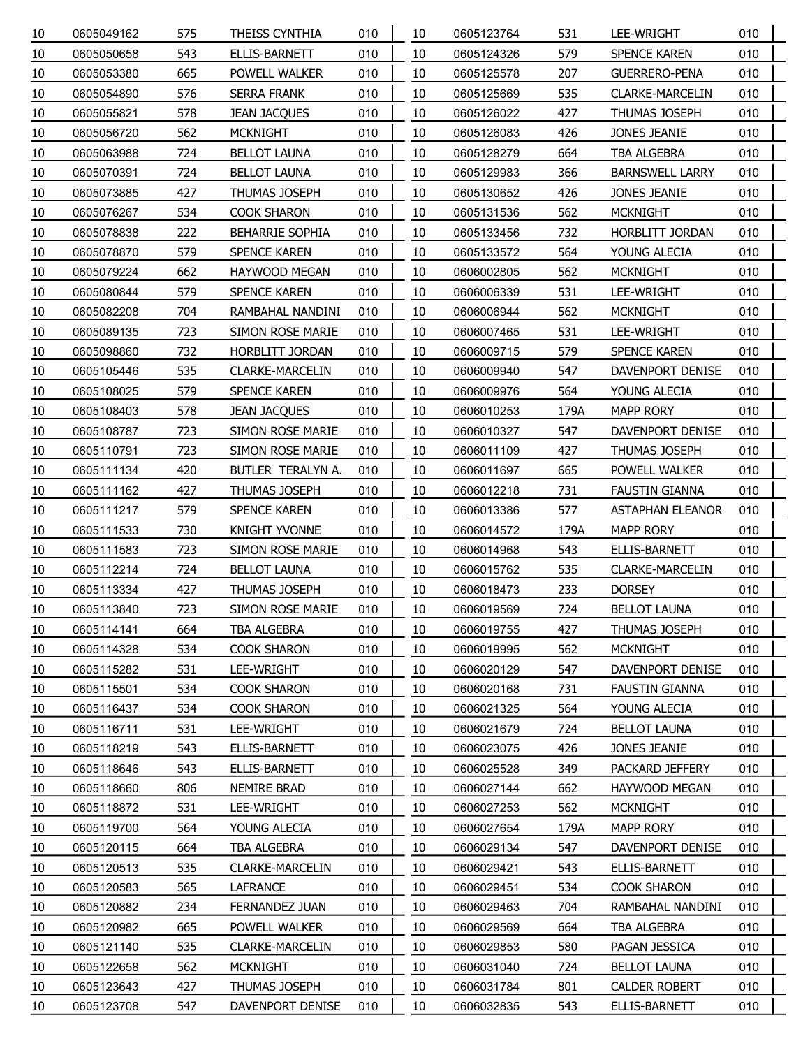| 10 | 0605049162 | 575 | THEISS CYNTHIA          | 010 | 10 | 0605123764 | 531  | LEE-WRIGHT              | 010 |  |
|----|------------|-----|-------------------------|-----|----|------------|------|-------------------------|-----|--|
| 10 | 0605050658 | 543 | ELLIS-BARNETT           | 010 | 10 | 0605124326 | 579  | SPENCE KAREN            | 010 |  |
| 10 | 0605053380 | 665 | POWELL WALKER           | 010 | 10 | 0605125578 | 207  | <b>GUERRERO-PENA</b>    | 010 |  |
| 10 | 0605054890 | 576 | <b>SERRA FRANK</b>      | 010 | 10 | 0605125669 | 535  | <b>CLARKE-MARCELIN</b>  | 010 |  |
| 10 | 0605055821 | 578 | <b>JEAN JACQUES</b>     | 010 | 10 | 0605126022 | 427  | <b>THUMAS JOSEPH</b>    | 010 |  |
| 10 | 0605056720 | 562 | <b>MCKNIGHT</b>         | 010 | 10 | 0605126083 | 426  | JONES JEANIE            | 010 |  |
| 10 | 0605063988 | 724 | <b>BELLOT LAUNA</b>     | 010 | 10 | 0605128279 | 664  | TBA ALGEBRA             | 010 |  |
| 10 | 0605070391 | 724 | <b>BELLOT LAUNA</b>     | 010 | 10 | 0605129983 | 366  | <b>BARNSWELL LARRY</b>  | 010 |  |
| 10 | 0605073885 | 427 | THUMAS JOSEPH           | 010 | 10 | 0605130652 | 426  | <b>JONES JEANIE</b>     | 010 |  |
| 10 | 0605076267 | 534 | <b>COOK SHARON</b>      | 010 | 10 | 0605131536 | 562  | <b>MCKNIGHT</b>         | 010 |  |
| 10 | 0605078838 | 222 | <b>BEHARRIE SOPHIA</b>  | 010 | 10 | 0605133456 | 732  | HORBLITT JORDAN         | 010 |  |
| 10 | 0605078870 | 579 | SPENCE KAREN            | 010 | 10 | 0605133572 | 564  | YOUNG ALECIA            | 010 |  |
| 10 | 0605079224 | 662 | HAYWOOD MEGAN           | 010 | 10 | 0606002805 | 562  | <b>MCKNIGHT</b>         | 010 |  |
| 10 | 0605080844 | 579 | SPENCE KAREN            | 010 | 10 | 0606006339 | 531  | LEE-WRIGHT              | 010 |  |
| 10 | 0605082208 | 704 | RAMBAHAL NANDINI        | 010 | 10 | 0606006944 | 562  | <b>MCKNIGHT</b>         | 010 |  |
| 10 | 0605089135 | 723 | SIMON ROSE MARIE        | 010 | 10 | 0606007465 | 531  | LEE-WRIGHT              | 010 |  |
| 10 | 0605098860 | 732 | HORBLITT JORDAN         | 010 | 10 | 0606009715 | 579  | SPENCE KAREN            | 010 |  |
| 10 | 0605105446 | 535 | CLARKE-MARCELIN         | 010 | 10 | 0606009940 | 547  | DAVENPORT DENISE        | 010 |  |
| 10 | 0605108025 | 579 | SPENCE KAREN            | 010 | 10 | 0606009976 | 564  | YOUNG ALECIA            | 010 |  |
| 10 | 0605108403 | 578 | <b>JEAN JACQUES</b>     | 010 | 10 | 0606010253 | 179A | <b>MAPP RORY</b>        | 010 |  |
| 10 | 0605108787 | 723 | SIMON ROSE MARIE        | 010 | 10 | 0606010327 | 547  | DAVENPORT DENISE        | 010 |  |
| 10 | 0605110791 | 723 | SIMON ROSE MARIE        | 010 | 10 | 0606011109 | 427  | THUMAS JOSEPH           | 010 |  |
| 10 | 0605111134 | 420 | BUTLER TERALYN A.       | 010 | 10 | 0606011697 | 665  | POWELL WALKER           | 010 |  |
| 10 | 0605111162 | 427 | THUMAS JOSEPH           | 010 | 10 | 0606012218 | 731  | FAUSTIN GIANNA          | 010 |  |
| 10 | 0605111217 | 579 | SPENCE KAREN            | 010 | 10 | 0606013386 | 577  | <b>ASTAPHAN ELEANOR</b> | 010 |  |
| 10 | 0605111533 | 730 | <b>KNIGHT YVONNE</b>    | 010 | 10 | 0606014572 | 179A | <b>MAPP RORY</b>        | 010 |  |
| 10 | 0605111583 | 723 | SIMON ROSE MARIE        | 010 | 10 | 0606014968 | 543  | ELLIS-BARNETT           | 010 |  |
| 10 | 0605112214 | 724 | <b>BELLOT LAUNA</b>     | 010 | 10 | 0606015762 | 535  | CLARKE-MARCELIN         | 010 |  |
| 10 | 0605113334 | 427 | THUMAS JOSEPH           | 010 | 10 | 0606018473 | 233  | <b>DORSEY</b>           | 010 |  |
| 10 | 0605113840 | 723 | <b>SIMON ROSE MARIE</b> | 010 | 10 | 0606019569 | 724  | <b>BELLOT LAUNA</b>     | 010 |  |
| 10 | 0605114141 | 664 | TBA ALGEBRA             | 010 | 10 | 0606019755 | 427  | THUMAS JOSEPH           | 010 |  |
| 10 | 0605114328 | 534 | <b>COOK SHARON</b>      | 010 | 10 | 0606019995 | 562  | <b>MCKNIGHT</b>         | 010 |  |
| 10 | 0605115282 | 531 | LEE-WRIGHT              | 010 | 10 | 0606020129 | 547  | DAVENPORT DENISE        | 010 |  |
| 10 | 0605115501 | 534 | <b>COOK SHARON</b>      | 010 | 10 | 0606020168 | 731  | <b>FAUSTIN GIANNA</b>   | 010 |  |
| 10 | 0605116437 | 534 | <b>COOK SHARON</b>      | 010 | 10 | 0606021325 | 564  | YOUNG ALECIA            | 010 |  |
| 10 | 0605116711 | 531 | LEE-WRIGHT              | 010 | 10 | 0606021679 | 724  | <b>BELLOT LAUNA</b>     | 010 |  |
| 10 | 0605118219 | 543 | ELLIS-BARNETT           | 010 | 10 | 0606023075 | 426  | JONES JEANIE            | 010 |  |
| 10 | 0605118646 | 543 | ELLIS-BARNETT           | 010 | 10 | 0606025528 | 349  | PACKARD JEFFERY         | 010 |  |
| 10 | 0605118660 | 806 | NEMIRE BRAD             | 010 | 10 | 0606027144 | 662  | <b>HAYWOOD MEGAN</b>    | 010 |  |
| 10 | 0605118872 | 531 | LEE-WRIGHT              | 010 | 10 | 0606027253 | 562  | <b>MCKNIGHT</b>         | 010 |  |
| 10 | 0605119700 | 564 | YOUNG ALECIA            | 010 | 10 | 0606027654 | 179A | <b>MAPP RORY</b>        | 010 |  |
| 10 | 0605120115 | 664 | TBA ALGEBRA             | 010 | 10 | 0606029134 | 547  | DAVENPORT DENISE        | 010 |  |
| 10 | 0605120513 | 535 | CLARKE-MARCELIN         | 010 | 10 | 0606029421 | 543  | ELLIS-BARNETT           | 010 |  |
| 10 | 0605120583 | 565 | <b>LAFRANCE</b>         | 010 | 10 | 0606029451 | 534  | <b>COOK SHARON</b>      | 010 |  |
| 10 | 0605120882 | 234 | FERNANDEZ JUAN          | 010 | 10 | 0606029463 | 704  | RAMBAHAL NANDINI        | 010 |  |
| 10 | 0605120982 | 665 | POWELL WALKER           | 010 | 10 | 0606029569 | 664  | TBA ALGEBRA             | 010 |  |
| 10 | 0605121140 | 535 | <b>CLARKE-MARCELIN</b>  | 010 | 10 | 0606029853 | 580  | PAGAN JESSICA           | 010 |  |
| 10 | 0605122658 | 562 | <b>MCKNIGHT</b>         | 010 | 10 | 0606031040 | 724  | <b>BELLOT LAUNA</b>     | 010 |  |
| 10 | 0605123643 | 427 | THUMAS JOSEPH           | 010 | 10 | 0606031784 | 801  | <b>CALDER ROBERT</b>    | 010 |  |
| 10 | 0605123708 | 547 | DAVENPORT DENISE        | 010 | 10 | 0606032835 | 543  | ELLIS-BARNETT           | 010 |  |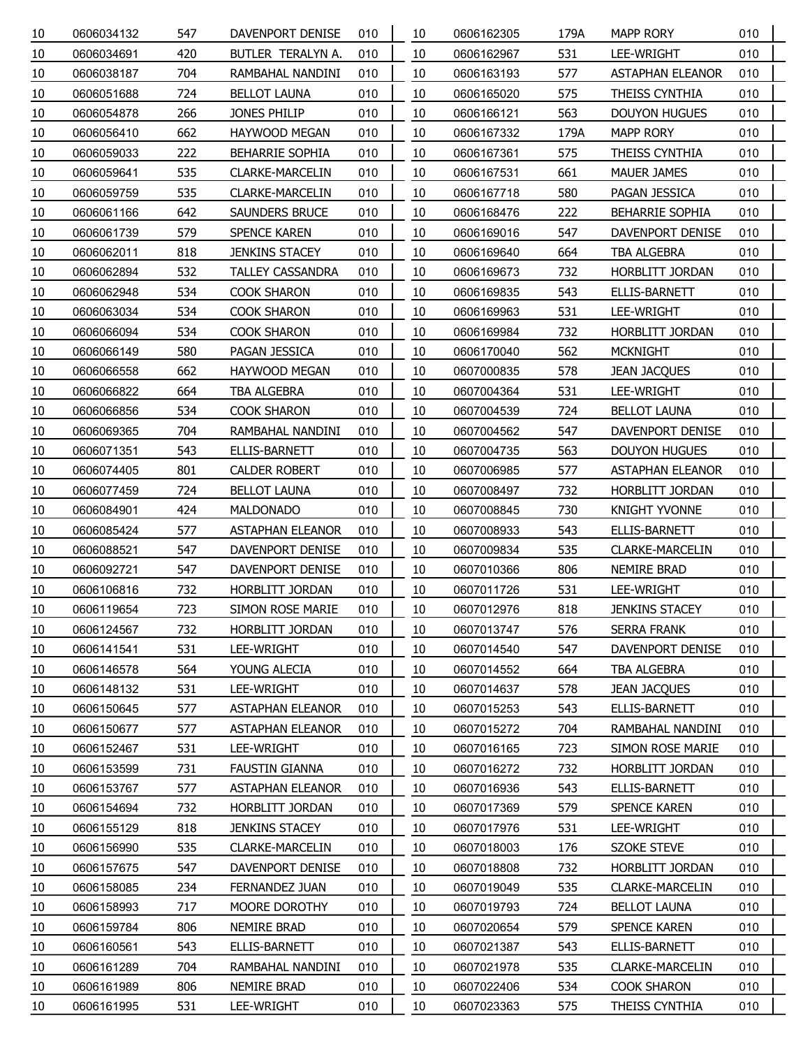| 10 | 0606034132 | 547 | DAVENPORT DENISE        | 010 | 10 | 0606162305 | 179A | <b>MAPP RORY</b>        | 010 |  |
|----|------------|-----|-------------------------|-----|----|------------|------|-------------------------|-----|--|
| 10 | 0606034691 | 420 | BUTLER TERALYN A.       | 010 | 10 | 0606162967 | 531  | LEE-WRIGHT              | 010 |  |
| 10 | 0606038187 | 704 | RAMBAHAL NANDINI        | 010 | 10 | 0606163193 | 577  | <b>ASTAPHAN ELEANOR</b> | 010 |  |
| 10 | 0606051688 | 724 | <b>BELLOT LAUNA</b>     | 010 | 10 | 0606165020 | 575  | THEISS CYNTHIA          | 010 |  |
| 10 | 0606054878 | 266 | JONES PHILIP            | 010 | 10 | 0606166121 | 563  | <b>DOUYON HUGUES</b>    | 010 |  |
| 10 | 0606056410 | 662 | HAYWOOD MEGAN           | 010 | 10 | 0606167332 | 179A | <b>MAPP RORY</b>        | 010 |  |
| 10 | 0606059033 | 222 | BEHARRIE SOPHIA         | 010 | 10 | 0606167361 | 575  | THEISS CYNTHIA          | 010 |  |
| 10 | 0606059641 | 535 | CLARKE-MARCELIN         | 010 | 10 | 0606167531 | 661  | <b>MAUER JAMES</b>      | 010 |  |
| 10 | 0606059759 | 535 | <b>CLARKE-MARCELIN</b>  | 010 | 10 | 0606167718 | 580  | PAGAN JESSICA           | 010 |  |
| 10 | 0606061166 | 642 | SAUNDERS BRUCE          | 010 | 10 | 0606168476 | 222  | BEHARRIE SOPHIA         | 010 |  |
| 10 | 0606061739 | 579 | SPENCE KAREN            | 010 | 10 | 0606169016 | 547  | DAVENPORT DENISE        | 010 |  |
| 10 | 0606062011 | 818 | <b>JENKINS STACEY</b>   | 010 | 10 | 0606169640 | 664  | TBA ALGEBRA             | 010 |  |
| 10 | 0606062894 | 532 | <b>TALLEY CASSANDRA</b> | 010 | 10 | 0606169673 | 732  | HORBLITT JORDAN         | 010 |  |
| 10 | 0606062948 | 534 | <b>COOK SHARON</b>      | 010 | 10 | 0606169835 | 543  | ELLIS-BARNETT           | 010 |  |
| 10 | 0606063034 | 534 | <b>COOK SHARON</b>      | 010 | 10 | 0606169963 | 531  | LEE-WRIGHT              | 010 |  |
| 10 | 0606066094 | 534 | <b>COOK SHARON</b>      | 010 | 10 | 0606169984 | 732  | HORBLITT JORDAN         | 010 |  |
| 10 | 0606066149 | 580 | PAGAN JESSICA           | 010 | 10 | 0606170040 | 562  | <b>MCKNIGHT</b>         | 010 |  |
| 10 | 0606066558 | 662 | <b>HAYWOOD MEGAN</b>    | 010 | 10 | 0607000835 | 578  | <b>JEAN JACQUES</b>     | 010 |  |
| 10 | 0606066822 | 664 | TBA ALGEBRA             | 010 | 10 | 0607004364 | 531  | LEE-WRIGHT              | 010 |  |
| 10 | 0606066856 | 534 | <b>COOK SHARON</b>      | 010 | 10 | 0607004539 | 724  | <b>BELLOT LAUNA</b>     | 010 |  |
| 10 | 0606069365 | 704 | RAMBAHAL NANDINI        | 010 | 10 | 0607004562 | 547  | DAVENPORT DENISE        | 010 |  |
| 10 | 0606071351 | 543 | ELLIS-BARNETT           | 010 | 10 | 0607004735 | 563  | DOUYON HUGUES           | 010 |  |
| 10 | 0606074405 | 801 | <b>CALDER ROBERT</b>    | 010 | 10 | 0607006985 | 577  | <b>ASTAPHAN ELEANOR</b> | 010 |  |
| 10 | 0606077459 | 724 | <b>BELLOT LAUNA</b>     | 010 | 10 | 0607008497 | 732  | HORBLITT JORDAN         | 010 |  |
| 10 | 0606084901 | 424 | <b>MALDONADO</b>        | 010 | 10 | 0607008845 | 730  | <b>KNIGHT YVONNE</b>    | 010 |  |
| 10 | 0606085424 | 577 | <b>ASTAPHAN ELEANOR</b> | 010 | 10 | 0607008933 | 543  | ELLIS-BARNETT           | 010 |  |
| 10 | 0606088521 | 547 | DAVENPORT DENISE        | 010 | 10 | 0607009834 | 535  | <b>CLARKE-MARCELIN</b>  | 010 |  |
| 10 | 0606092721 | 547 | DAVENPORT DENISE        | 010 | 10 | 0607010366 | 806  | <b>NEMIRE BRAD</b>      | 010 |  |
| 10 | 0606106816 | 732 | <b>HORBLITT JORDAN</b>  | 010 | 10 | 0607011726 | 531  | LEE-WRIGHT              | 010 |  |
| 10 | 0606119654 | 723 | <b>SIMON ROSE MARIE</b> | 010 | 10 | 0607012976 | 818  | <b>JENKINS STACEY</b>   | 010 |  |
| 10 | 0606124567 | 732 | HORBLITT JORDAN         | 010 | 10 | 0607013747 | 576  | <b>SERRA FRANK</b>      | 010 |  |
| 10 | 0606141541 | 531 | LEE-WRIGHT              | 010 | 10 | 0607014540 | 547  | DAVENPORT DENISE        | 010 |  |
| 10 | 0606146578 | 564 | YOUNG ALECIA            | 010 | 10 | 0607014552 | 664  | TBA ALGEBRA             | 010 |  |
| 10 | 0606148132 | 531 | LEE-WRIGHT              | 010 | 10 | 0607014637 | 578  | <b>JEAN JACQUES</b>     | 010 |  |
| 10 | 0606150645 | 577 | <b>ASTAPHAN ELEANOR</b> | 010 | 10 | 0607015253 | 543  | ELLIS-BARNETT           | 010 |  |
| 10 | 0606150677 | 577 | <b>ASTAPHAN ELEANOR</b> | 010 | 10 | 0607015272 | 704  | RAMBAHAL NANDINI        | 010 |  |
| 10 | 0606152467 | 531 | LEE-WRIGHT              | 010 | 10 | 0607016165 | 723  | SIMON ROSE MARIE        | 010 |  |
| 10 | 0606153599 | 731 | <b>FAUSTIN GIANNA</b>   | 010 | 10 | 0607016272 | 732  | HORBLITT JORDAN         | 010 |  |
| 10 | 0606153767 | 577 | <b>ASTAPHAN ELEANOR</b> | 010 | 10 | 0607016936 | 543  | ELLIS-BARNETT           | 010 |  |
| 10 | 0606154694 | 732 | HORBLITT JORDAN         | 010 | 10 | 0607017369 | 579  | SPENCE KAREN            | 010 |  |
| 10 | 0606155129 | 818 | <b>JENKINS STACEY</b>   | 010 | 10 | 0607017976 | 531  | LEE-WRIGHT              | 010 |  |
| 10 | 0606156990 | 535 | CLARKE-MARCELIN         | 010 | 10 | 0607018003 | 176  | <b>SZOKE STEVE</b>      | 010 |  |
| 10 | 0606157675 | 547 | DAVENPORT DENISE        | 010 | 10 | 0607018808 | 732  | HORBLITT JORDAN         | 010 |  |
| 10 | 0606158085 | 234 | FERNANDEZ JUAN          | 010 | 10 | 0607019049 | 535  | CLARKE-MARCELIN         | 010 |  |
| 10 | 0606158993 | 717 | MOORE DOROTHY           | 010 | 10 | 0607019793 | 724  | <b>BELLOT LAUNA</b>     | 010 |  |
| 10 | 0606159784 | 806 | NEMIRE BRAD             | 010 | 10 | 0607020654 | 579  | SPENCE KAREN            | 010 |  |
| 10 | 0606160561 | 543 | ELLIS-BARNETT           | 010 | 10 | 0607021387 | 543  | ELLIS-BARNETT           | 010 |  |
| 10 | 0606161289 | 704 | RAMBAHAL NANDINI        | 010 | 10 | 0607021978 | 535  | CLARKE-MARCELIN         | 010 |  |
| 10 | 0606161989 | 806 | NEMIRE BRAD             | 010 | 10 | 0607022406 | 534  | <b>COOK SHARON</b>      | 010 |  |
| 10 | 0606161995 | 531 | LEE-WRIGHT              | 010 | 10 | 0607023363 | 575  | THEISS CYNTHIA          | 010 |  |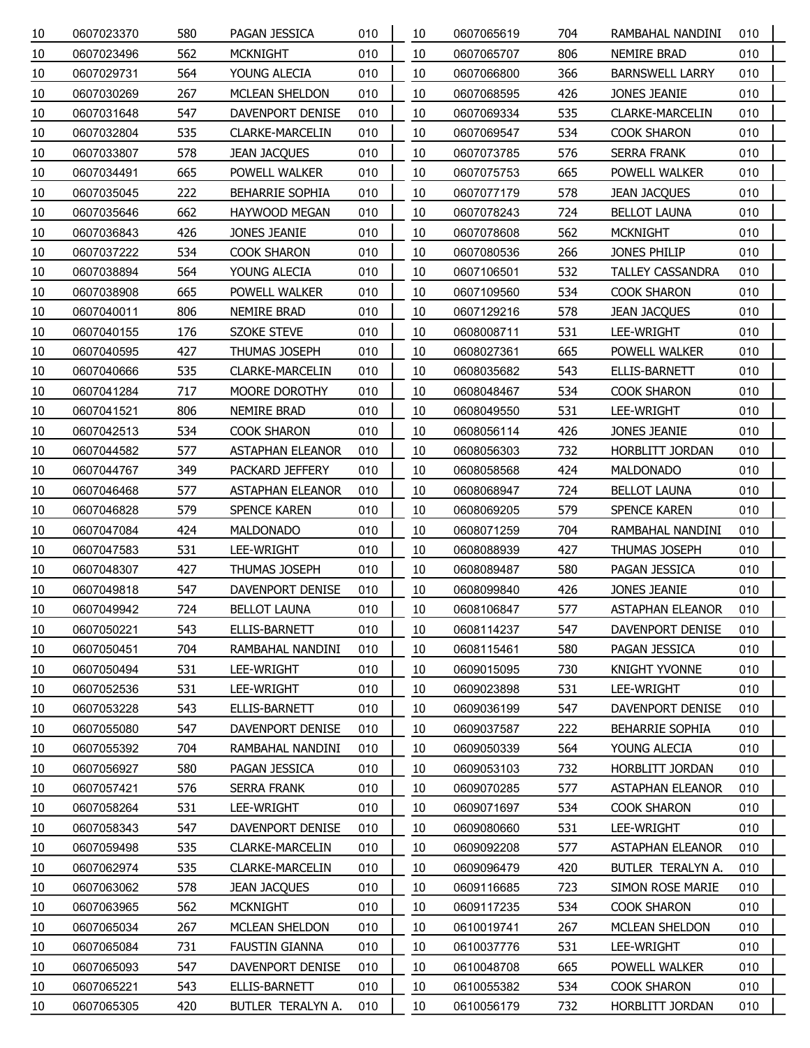| 10 | 0607023370 | 580 | PAGAN JESSICA           | 010 | 10 | 0607065619 | 704 | RAMBAHAL NANDINI        | 010 |
|----|------------|-----|-------------------------|-----|----|------------|-----|-------------------------|-----|
| 10 | 0607023496 | 562 | <b>MCKNIGHT</b>         | 010 | 10 | 0607065707 | 806 | <b>NEMIRE BRAD</b>      | 010 |
| 10 | 0607029731 | 564 | YOUNG ALECIA            | 010 | 10 | 0607066800 | 366 | <b>BARNSWELL LARRY</b>  | 010 |
| 10 | 0607030269 | 267 | MCLEAN SHELDON          | 010 | 10 | 0607068595 | 426 | JONES JEANIE            | 010 |
| 10 | 0607031648 | 547 | DAVENPORT DENISE        | 010 | 10 | 0607069334 | 535 | <b>CLARKE-MARCELIN</b>  | 010 |
| 10 | 0607032804 | 535 | <b>CLARKE-MARCELIN</b>  | 010 | 10 | 0607069547 | 534 | COOK SHARON             | 010 |
| 10 | 0607033807 | 578 | <b>JEAN JACQUES</b>     | 010 | 10 | 0607073785 | 576 | SERRA FRANK             | 010 |
| 10 | 0607034491 | 665 | POWELL WALKER           | 010 | 10 | 0607075753 | 665 | POWELL WALKER           | 010 |
| 10 | 0607035045 | 222 | <b>BEHARRIE SOPHIA</b>  | 010 | 10 | 0607077179 | 578 | <b>JEAN JACQUES</b>     | 010 |
| 10 | 0607035646 | 662 | <b>HAYWOOD MEGAN</b>    | 010 | 10 | 0607078243 | 724 | <b>BELLOT LAUNA</b>     | 010 |
| 10 | 0607036843 | 426 | JONES JEANIE            | 010 | 10 | 0607078608 | 562 | <b>MCKNIGHT</b>         | 010 |
| 10 | 0607037222 | 534 | COOK SHARON             | 010 | 10 | 0607080536 | 266 | JONES PHILIP            | 010 |
| 10 | 0607038894 | 564 | YOUNG ALECIA            | 010 | 10 | 0607106501 | 532 | <b>TALLEY CASSANDRA</b> | 010 |
| 10 | 0607038908 | 665 | POWELL WALKER           | 010 | 10 | 0607109560 | 534 | COOK SHARON             | 010 |
| 10 | 0607040011 | 806 | <b>NEMIRE BRAD</b>      | 010 | 10 | 0607129216 | 578 | <b>JEAN JACQUES</b>     | 010 |
| 10 | 0607040155 | 176 | <b>SZOKE STEVE</b>      | 010 | 10 | 0608008711 | 531 | LEE-WRIGHT              | 010 |
| 10 | 0607040595 | 427 | THUMAS JOSEPH           | 010 | 10 | 0608027361 | 665 | POWELL WALKER           | 010 |
| 10 | 0607040666 | 535 | <b>CLARKE-MARCELIN</b>  | 010 | 10 | 0608035682 | 543 | ELLIS-BARNETT           | 010 |
| 10 | 0607041284 | 717 | MOORE DOROTHY           | 010 | 10 | 0608048467 | 534 | COOK SHARON             | 010 |
| 10 | 0607041521 | 806 | NEMIRE BRAD             | 010 | 10 | 0608049550 | 531 | LEE-WRIGHT              | 010 |
| 10 | 0607042513 | 534 | COOK SHARON             | 010 | 10 | 0608056114 | 426 | JONES JEANIE            | 010 |
| 10 | 0607044582 | 577 | <b>ASTAPHAN ELEANOR</b> | 010 | 10 | 0608056303 | 732 | HORBLITT JORDAN         | 010 |
| 10 | 0607044767 | 349 | PACKARD JEFFERY         | 010 | 10 | 0608058568 | 424 | MALDONADO               | 010 |
| 10 | 0607046468 | 577 | <b>ASTAPHAN ELEANOR</b> | 010 | 10 | 0608068947 | 724 | <b>BELLOT LAUNA</b>     | 010 |
| 10 | 0607046828 | 579 | <b>SPENCE KAREN</b>     | 010 | 10 | 0608069205 | 579 | SPENCE KAREN            | 010 |
| 10 | 0607047084 | 424 | <b>MALDONADO</b>        | 010 | 10 | 0608071259 | 704 | RAMBAHAL NANDINI        | 010 |
| 10 | 0607047583 | 531 | LEE-WRIGHT              | 010 | 10 | 0608088939 | 427 | THUMAS JOSEPH           | 010 |
| 10 | 0607048307 | 427 | THUMAS JOSEPH           | 010 | 10 | 0608089487 | 580 | PAGAN JESSICA           | 010 |
| 10 | 0607049818 | 547 | <b>DAVENPORT DENISE</b> | 010 | 10 | 0608099840 | 426 | JONES JEANIE            | 010 |
| 10 | 0607049942 | 724 | <b>BELLOT LAUNA</b>     | 010 | 10 | 0608106847 | 577 | <b>ASTAPHAN ELEANOR</b> | 010 |
| 10 | 0607050221 | 543 | <b>ELLIS-BARNETT</b>    | 010 | 10 | 0608114237 | 547 | DAVENPORT DENISE        | 010 |
| 10 | 0607050451 | 704 | RAMBAHAL NANDINI        | 010 | 10 | 0608115461 | 580 | PAGAN JESSICA           | 010 |
| 10 | 0607050494 | 531 | LEE-WRIGHT              | 010 | 10 | 0609015095 | 730 | <b>KNIGHT YVONNE</b>    | 010 |
| 10 | 0607052536 | 531 | LEE-WRIGHT              | 010 | 10 | 0609023898 | 531 | LEE-WRIGHT              | 010 |
| 10 | 0607053228 | 543 | ELLIS-BARNETT           | 010 | 10 | 0609036199 | 547 | <b>DAVENPORT DENISE</b> | 010 |
| 10 | 0607055080 | 547 | DAVENPORT DENISE        | 010 | 10 | 0609037587 | 222 | <b>BEHARRIE SOPHIA</b>  | 010 |
| 10 | 0607055392 | 704 | RAMBAHAL NANDINI        | 010 | 10 | 0609050339 | 564 | YOUNG ALECIA            | 010 |
| 10 | 0607056927 | 580 | PAGAN JESSICA           | 010 | 10 | 0609053103 | 732 | HORBLITT JORDAN         | 010 |
| 10 | 0607057421 | 576 | SERRA FRANK             | 010 | 10 | 0609070285 | 577 | <b>ASTAPHAN ELEANOR</b> | 010 |
| 10 | 0607058264 | 531 | LEE-WRIGHT              | 010 | 10 | 0609071697 | 534 | <b>COOK SHARON</b>      | 010 |
| 10 | 0607058343 | 547 | DAVENPORT DENISE        | 010 | 10 | 0609080660 | 531 | LEE-WRIGHT              | 010 |
| 10 | 0607059498 | 535 | <b>CLARKE-MARCELIN</b>  | 010 | 10 | 0609092208 | 577 | <b>ASTAPHAN ELEANOR</b> | 010 |
| 10 | 0607062974 | 535 | <b>CLARKE-MARCELIN</b>  | 010 | 10 | 0609096479 | 420 | BUTLER TERALYN A.       | 010 |
| 10 | 0607063062 | 578 | <b>JEAN JACQUES</b>     | 010 | 10 | 0609116685 | 723 | <b>SIMON ROSE MARIE</b> | 010 |
| 10 | 0607063965 | 562 | <b>MCKNIGHT</b>         | 010 | 10 | 0609117235 | 534 | COOK SHARON             | 010 |
| 10 | 0607065034 | 267 | MCLEAN SHELDON          | 010 | 10 | 0610019741 | 267 | MCLEAN SHELDON          | 010 |
| 10 | 0607065084 | 731 | <b>FAUSTIN GIANNA</b>   | 010 | 10 | 0610037776 | 531 | LEE-WRIGHT              | 010 |
| 10 | 0607065093 | 547 | DAVENPORT DENISE        | 010 | 10 | 0610048708 | 665 | POWELL WALKER           | 010 |
| 10 | 0607065221 | 543 | ELLIS-BARNETT           | 010 | 10 | 0610055382 | 534 | COOK SHARON             | 010 |
| 10 | 0607065305 | 420 | BUTLER TERALYN A.       | 010 | 10 | 0610056179 | 732 | HORBLITT JORDAN         | 010 |